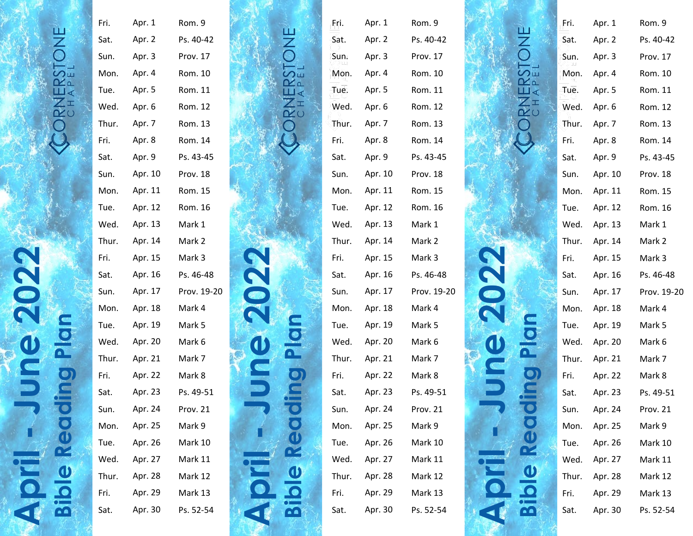|      | CORNERSTONE             |  |
|------|-------------------------|--|
|      |                         |  |
|      |                         |  |
|      |                         |  |
|      |                         |  |
|      |                         |  |
|      |                         |  |
|      |                         |  |
|      |                         |  |
|      |                         |  |
|      |                         |  |
|      |                         |  |
|      |                         |  |
|      |                         |  |
|      |                         |  |
|      |                         |  |
|      |                         |  |
|      |                         |  |
|      |                         |  |
|      |                         |  |
|      |                         |  |
|      |                         |  |
|      |                         |  |
|      |                         |  |
|      |                         |  |
|      |                         |  |
|      |                         |  |
| 2022 |                         |  |
|      |                         |  |
|      |                         |  |
|      |                         |  |
|      |                         |  |
|      |                         |  |
|      |                         |  |
|      |                         |  |
|      |                         |  |
|      |                         |  |
|      |                         |  |
| Une  | ng Plan                 |  |
|      |                         |  |
|      |                         |  |
|      |                         |  |
|      |                         |  |
|      |                         |  |
|      |                         |  |
|      | COOS                    |  |
|      |                         |  |
|      |                         |  |
|      |                         |  |
|      |                         |  |
|      |                         |  |
|      |                         |  |
|      |                         |  |
|      |                         |  |
|      | $\overline{\mathbf{0}}$ |  |
|      |                         |  |
|      |                         |  |
|      |                         |  |
|      |                         |  |
|      |                         |  |
|      |                         |  |

| Fri.  | Apr. 1  | Rom. 9      |
|-------|---------|-------------|
| Sat.  | Apr. 2  | Ps. 40-42   |
| Sun.  | Apr. 3  | Prov. 17    |
| Mon.  | Apr. 4  | Rom. 10     |
| Tue.  | Apr. 5  | Rom. 11     |
| Wed.  | Apr. 6  | Rom. 12     |
| Thur. | Apr. 7  | Rom. 13     |
| Fri.  | Apr. 8  | Rom. 14     |
| Sat.  | Apr. 9  | Ps. 43-45   |
| Sun.  | Apr. 10 | Prov. 18    |
| Mon.  | Apr. 11 | Rom. 15     |
| Tue.  | Apr. 12 | Rom. 16     |
| Wed.  | Apr. 13 | Mark 1      |
| Thur. | Apr. 14 | Mark 2      |
| Fri.  | Apr. 15 | Mark 3      |
| Sat.  | Apr. 16 | Ps. 46-48   |
| Sun.  | Apr. 17 | Prov. 19-20 |
| Mon.  | Apr. 18 | Mark 4      |
| Tue.  | Apr. 19 | Mark 5      |
| Wed.  | Apr. 20 | Mark 6      |
| Thur. | Apr. 21 | Mark 7      |
| Fri.  | Apr. 22 | Mark 8      |
| Sat.  | Apr. 23 | Ps. 49-51   |
| Sun.  | Apr. 24 | Prov. 21    |
| Mon.  | Apr. 25 | Mark 9      |
| Tue.  | Apr. 26 | Mark 10     |
| Wed.  | Apr. 27 | Mark 11     |
| Thur. | Apr. 28 | Mark 12     |
| Fri.  | Apr. 29 | Mark 13     |
| Sat.  | Apr. 30 | Ps. 52-54   |